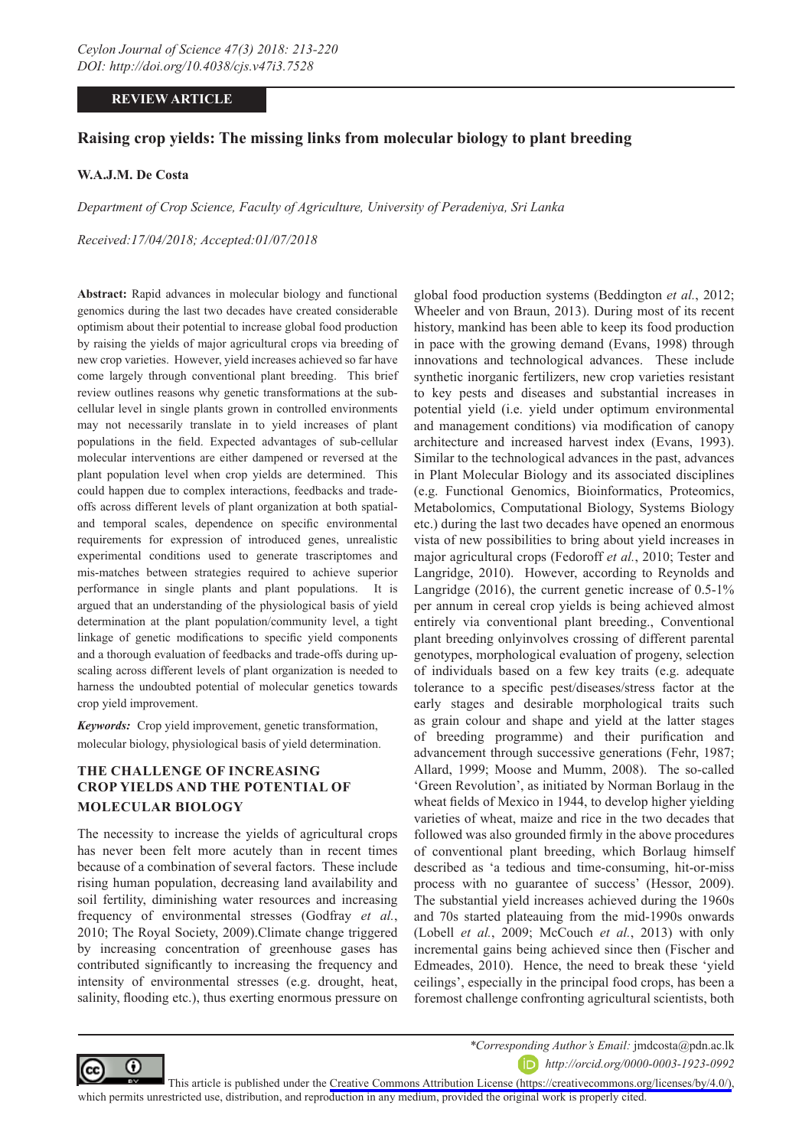# **REVIEW ARTICLE**

# **Raising crop yields: The missing links from molecular biology to plant breeding**

### **W.A.J.M. De Costa**

*Department of Crop Science, Faculty of Agriculture, University of Peradeniya, Sri Lanka*

*Received:17/04/2018; Accepted:01/07/2018*

**Abstract:** Rapid advances in molecular biology and functional genomics during the last two decades have created considerable optimism about their potential to increase global food production by raising the yields of major agricultural crops via breeding of new crop varieties. However, yield increases achieved so far have come largely through conventional plant breeding. This brief review outlines reasons why genetic transformations at the subcellular level in single plants grown in controlled environments may not necessarily translate in to yield increases of plant populations in the field. Expected advantages of sub-cellular molecular interventions are either dampened or reversed at the plant population level when crop yields are determined. This could happen due to complex interactions, feedbacks and tradeoffs across different levels of plant organization at both spatialand temporal scales, dependence on specific environmental requirements for expression of introduced genes, unrealistic experimental conditions used to generate trascriptomes and mis-matches between strategies required to achieve superior performance in single plants and plant populations. It is argued that an understanding of the physiological basis of yield determination at the plant population/community level, a tight linkage of genetic modifications to specific yield components and a thorough evaluation of feedbacks and trade-offs during upscaling across different levels of plant organization is needed to harness the undoubted potential of molecular genetics towards crop yield improvement.

*Keywords:* Crop yield improvement, genetic transformation, molecular biology, physiological basis of yield determination.

# **THE CHALLENGE OF INCREASING CROP YIELDS AND THE POTENTIAL OF MOLECULAR BIOLOGY**

The necessity to increase the yields of agricultural crops has never been felt more acutely than in recent times because of a combination of several factors. These include rising human population, decreasing land availability and soil fertility, diminishing water resources and increasing frequency of environmental stresses (Godfray *et al.*, 2010; The Royal Society, 2009).Climate change triggered by increasing concentration of greenhouse gases has contributed significantly to increasing the frequency and intensity of environmental stresses (e.g. drought, heat, salinity, flooding etc.), thus exerting enormous pressure on

global food production systems (Beddington *et al.*, 2012; Wheeler and von Braun, 2013). During most of its recent history, mankind has been able to keep its food production in pace with the growing demand (Evans, 1998) through innovations and technological advances. These include synthetic inorganic fertilizers, new crop varieties resistant to key pests and diseases and substantial increases in potential yield (i.e. yield under optimum environmental and management conditions) via modification of canopy architecture and increased harvest index (Evans, 1993). Similar to the technological advances in the past, advances in Plant Molecular Biology and its associated disciplines (e.g. Functional Genomics, Bioinformatics, Proteomics, Metabolomics, Computational Biology, Systems Biology etc.) during the last two decades have opened an enormous vista of new possibilities to bring about yield increases in major agricultural crops (Fedoroff *et al.*, 2010; Tester and Langridge, 2010). However, according to Reynolds and Langridge (2016), the current genetic increase of 0.5-1% per annum in cereal crop yields is being achieved almost entirely via conventional plant breeding., Conventional plant breeding onlyinvolves crossing of different parental genotypes, morphological evaluation of progeny, selection of individuals based on a few key traits (e.g. adequate tolerance to a specific pest/diseases/stress factor at the early stages and desirable morphological traits such as grain colour and shape and yield at the latter stages of breeding programme) and their purification and advancement through successive generations (Fehr, 1987; Allard, 1999; Moose and Mumm, 2008). The so-called 'Green Revolution', as initiated by Norman Borlaug in the wheat fields of Mexico in 1944, to develop higher yielding varieties of wheat, maize and rice in the two decades that followed was also grounded firmly in the above procedures of conventional plant breeding, which Borlaug himself described as 'a tedious and time-consuming, hit-or-miss process with no guarantee of success' (Hessor, 2009). The substantial yield increases achieved during the 1960s and 70s started plateauing from the mid-1990s onwards (Lobell *et al.*, 2009; McCouch *et al.*, 2013) with only incremental gains being achieved since then (Fischer and Edmeades, 2010). Hence, the need to break these 'yield ceilings', especially in the principal food crops, has been a foremost challenge confronting agricultural scientists, both



*\*Corresponding Author's Email:* jmdcosta@pdn.ac.lk

*http://orcid.org/0000-0003-1923-0992*

This article is published under the [Creative Commons Attribution License \(https://creativecommons.org/licenses/by/4.0/\)](https://creativecommons.org/licenses/by/4.0/), which permits unrestricted use, distribution, and reproduction in any medium, provided the original work is properly cited.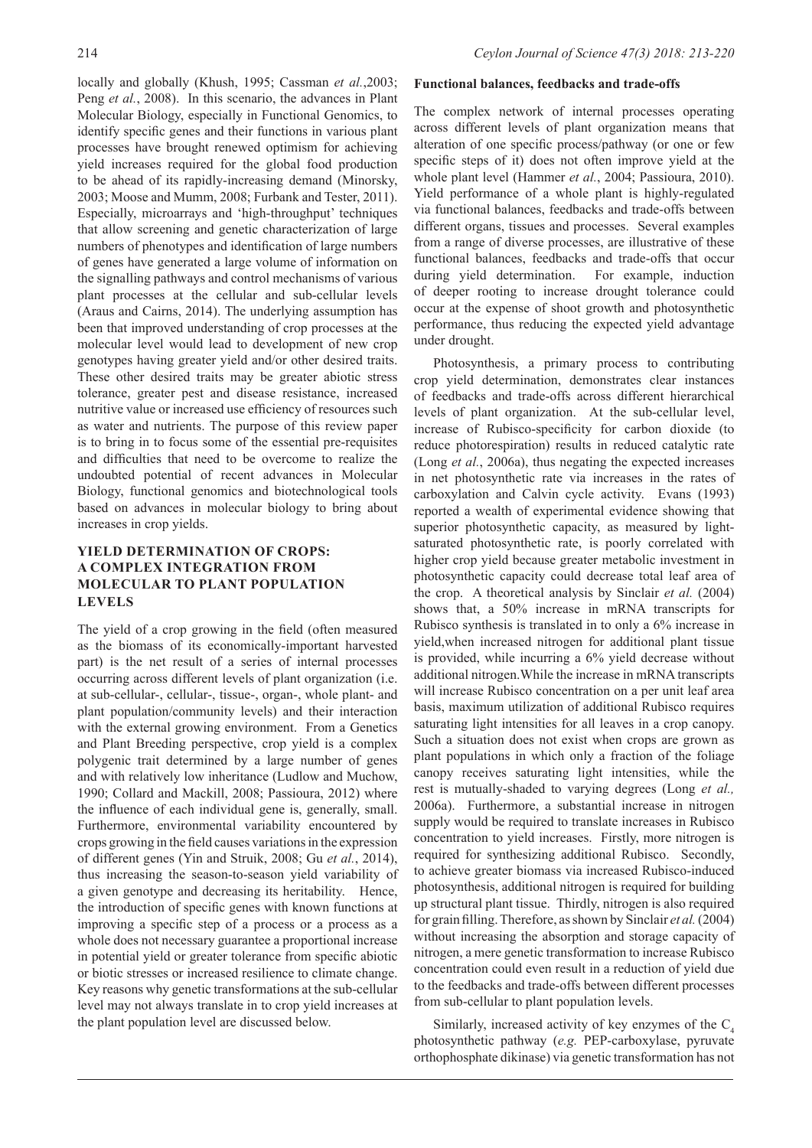locally and globally (Khush, 1995; Cassman *et al.*,2003; Peng *et al.*, 2008). In this scenario, the advances in Plant Molecular Biology, especially in Functional Genomics, to identify specific genes and their functions in various plant processes have brought renewed optimism for achieving yield increases required for the global food production to be ahead of its rapidly-increasing demand (Minorsky, 2003; Moose and Mumm, 2008; Furbank and Tester, 2011). Especially, microarrays and 'high-throughput' techniques that allow screening and genetic characterization of large numbers of phenotypes and identification of large numbers of genes have generated a large volume of information on the signalling pathways and control mechanisms of various plant processes at the cellular and sub-cellular levels (Araus and Cairns, 2014). The underlying assumption has been that improved understanding of crop processes at the molecular level would lead to development of new crop genotypes having greater yield and/or other desired traits. These other desired traits may be greater abiotic stress tolerance, greater pest and disease resistance, increased nutritive value or increased use efficiency of resources such as water and nutrients. The purpose of this review paper is to bring in to focus some of the essential pre-requisites and difficulties that need to be overcome to realize the undoubted potential of recent advances in Molecular Biology, functional genomics and biotechnological tools based on advances in molecular biology to bring about increases in crop yields.

# **YIELD DETERMINATION OF CROPS: A COMPLEX INTEGRATION FROM MOLECULAR TO PLANT POPULATION LEVELS**

The yield of a crop growing in the field (often measured as the biomass of its economically-important harvested part) is the net result of a series of internal processes occurring across different levels of plant organization (i.e. at sub-cellular-, cellular-, tissue-, organ-, whole plant- and plant population/community levels) and their interaction with the external growing environment. From a Genetics and Plant Breeding perspective, crop yield is a complex polygenic trait determined by a large number of genes and with relatively low inheritance (Ludlow and Muchow, 1990; Collard and Mackill, 2008; Passioura, 2012) where the influence of each individual gene is, generally, small. Furthermore, environmental variability encountered by crops growing in the field causes variations in the expression of different genes (Yin and Struik, 2008; Gu *et al.*, 2014), thus increasing the season-to-season yield variability of a given genotype and decreasing its heritability. Hence, the introduction of specific genes with known functions at improving a specific step of a process or a process as a whole does not necessary guarantee a proportional increase in potential yield or greater tolerance from specific abiotic or biotic stresses or increased resilience to climate change. Key reasons why genetic transformations at the sub-cellular level may not always translate in to crop yield increases at the plant population level are discussed below.

#### **Functional balances, feedbacks and trade-offs**

The complex network of internal processes operating across different levels of plant organization means that alteration of one specific process/pathway (or one or few specific steps of it) does not often improve yield at the whole plant level (Hammer *et al.*, 2004; Passioura, 2010). Yield performance of a whole plant is highly-regulated via functional balances, feedbacks and trade-offs between different organs, tissues and processes. Several examples from a range of diverse processes, are illustrative of these functional balances, feedbacks and trade-offs that occur during yield determination. For example, induction of deeper rooting to increase drought tolerance could occur at the expense of shoot growth and photosynthetic performance, thus reducing the expected yield advantage under drought.

Photosynthesis, a primary process to contributing crop yield determination, demonstrates clear instances of feedbacks and trade-offs across different hierarchical levels of plant organization. At the sub-cellular level, increase of Rubisco-specificity for carbon dioxide (to reduce photorespiration) results in reduced catalytic rate (Long *et al.*, 2006a), thus negating the expected increases in net photosynthetic rate via increases in the rates of carboxylation and Calvin cycle activity. Evans (1993) reported a wealth of experimental evidence showing that superior photosynthetic capacity, as measured by lightsaturated photosynthetic rate, is poorly correlated with higher crop yield because greater metabolic investment in photosynthetic capacity could decrease total leaf area of the crop. A theoretical analysis by Sinclair *et al.* (2004) shows that, a 50% increase in mRNA transcripts for Rubisco synthesis is translated in to only a 6% increase in yield,when increased nitrogen for additional plant tissue is provided, while incurring a 6% yield decrease without additional nitrogen.While the increase in mRNA transcripts will increase Rubisco concentration on a per unit leaf area basis, maximum utilization of additional Rubisco requires saturating light intensities for all leaves in a crop canopy. Such a situation does not exist when crops are grown as plant populations in which only a fraction of the foliage canopy receives saturating light intensities, while the rest is mutually-shaded to varying degrees (Long *et al.,* 2006a). Furthermore, a substantial increase in nitrogen supply would be required to translate increases in Rubisco concentration to yield increases. Firstly, more nitrogen is required for synthesizing additional Rubisco. Secondly, to achieve greater biomass via increased Rubisco-induced photosynthesis, additional nitrogen is required for building up structural plant tissue. Thirdly, nitrogen is also required for grain filling. Therefore, as shown by Sinclair *et al.* (2004) without increasing the absorption and storage capacity of nitrogen, a mere genetic transformation to increase Rubisco concentration could even result in a reduction of yield due to the feedbacks and trade-offs between different processes from sub-cellular to plant population levels.

Similarly, increased activity of key enzymes of the  $C_4$ photosynthetic pathway (*e.g.* PEP-carboxylase, pyruvate orthophosphate dikinase) via genetic transformation has not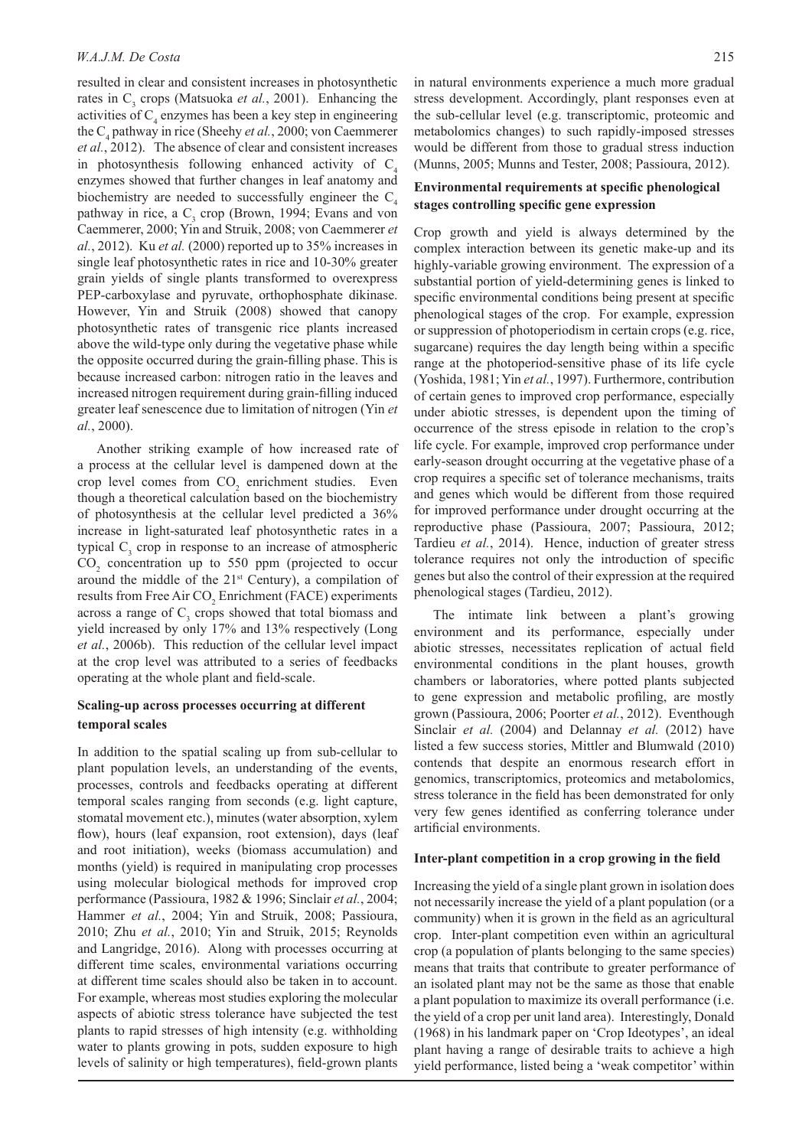resulted in clear and consistent increases in photosynthetic rates in C<sub>3</sub> crops (Matsuoka *et al.*, 2001). Enhancing the activities of  $C_4$  enzymes has been a key step in engineering the C<sub>4</sub> pathway in rice (Sheehy *et al.*, 2000; von Caemmerer *et al.*, 2012). The absence of clear and consistent increases in photosynthesis following enhanced activity of  $C<sub>i</sub>$ enzymes showed that further changes in leaf anatomy and biochemistry are needed to successfully engineer the  $C_4$ pathway in rice, a  $C_3$  crop (Brown, 1994; Evans and von Caemmerer, 2000; Yin and Struik, 2008; von Caemmerer *et al.*, 2012). Ku *et al.* (2000) reported up to 35% increases in single leaf photosynthetic rates in rice and 10-30% greater grain yields of single plants transformed to overexpress PEP-carboxylase and pyruvate, orthophosphate dikinase. However, Yin and Struik (2008) showed that canopy photosynthetic rates of transgenic rice plants increased above the wild-type only during the vegetative phase while the opposite occurred during the grain-filling phase. This is because increased carbon: nitrogen ratio in the leaves and increased nitrogen requirement during grain-filling induced greater leaf senescence due to limitation of nitrogen (Yin *et al.*, 2000).

Another striking example of how increased rate of a process at the cellular level is dampened down at the crop level comes from  $CO_2$  enrichment studies. Even though a theoretical calculation based on the biochemistry of photosynthesis at the cellular level predicted a 36% increase in light-saturated leaf photosynthetic rates in a typical  $C_3$  crop in response to an increase of atmospheric  $CO<sub>2</sub>$  concentration up to 550 ppm (projected to occur around the middle of the  $21<sup>st</sup>$  Century), a compilation of results from Free Air CO<sub>2</sub> Enrichment (FACE) experiments across a range of  $C_3$  crops showed that total biomass and yield increased by only 17% and 13% respectively (Long *et al.*, 2006b). This reduction of the cellular level impact at the crop level was attributed to a series of feedbacks operating at the whole plant and field-scale.

# **Scaling-up across processes occurring at different temporal scales**

In addition to the spatial scaling up from sub-cellular to plant population levels, an understanding of the events, processes, controls and feedbacks operating at different temporal scales ranging from seconds (e.g. light capture, stomatal movement etc.), minutes (water absorption, xylem flow), hours (leaf expansion, root extension), days (leaf and root initiation), weeks (biomass accumulation) and months (yield) is required in manipulating crop processes using molecular biological methods for improved crop performance (Passioura, 1982 & 1996; Sinclair *et al.*, 2004; Hammer et al., 2004; Yin and Struik, 2008; Passioura, 2010; Zhu *et al.*, 2010; Yin and Struik, 2015; Reynolds and Langridge, 2016). Along with processes occurring at different time scales, environmental variations occurring at different time scales should also be taken in to account. For example, whereas most studies exploring the molecular aspects of abiotic stress tolerance have subjected the test plants to rapid stresses of high intensity (e.g. withholding water to plants growing in pots, sudden exposure to high levels of salinity or high temperatures), field-grown plants

in natural environments experience a much more gradual stress development. Accordingly, plant responses even at the sub-cellular level (e.g. transcriptomic, proteomic and metabolomics changes) to such rapidly-imposed stresses would be different from those to gradual stress induction (Munns, 2005; Munns and Tester, 2008; Passioura, 2012).

## **Environmental requirements at specific phenological stages controlling specific gene expression**

Crop growth and yield is always determined by the complex interaction between its genetic make-up and its highly-variable growing environment. The expression of a substantial portion of yield-determining genes is linked to specific environmental conditions being present at specific phenological stages of the crop. For example, expression or suppression of photoperiodism in certain crops (e.g. rice, sugarcane) requires the day length being within a specific range at the photoperiod-sensitive phase of its life cycle (Yoshida, 1981; Yin *et al.*, 1997). Furthermore, contribution of certain genes to improved crop performance, especially under abiotic stresses, is dependent upon the timing of occurrence of the stress episode in relation to the crop's life cycle. For example, improved crop performance under early-season drought occurring at the vegetative phase of a crop requires a specific set of tolerance mechanisms, traits and genes which would be different from those required for improved performance under drought occurring at the reproductive phase (Passioura, 2007; Passioura, 2012; Tardieu *et al.*, 2014). Hence, induction of greater stress tolerance requires not only the introduction of specific genes but also the control of their expression at the required phenological stages (Tardieu, 2012).

The intimate link between a plant's growing environment and its performance, especially under abiotic stresses, necessitates replication of actual field environmental conditions in the plant houses, growth chambers or laboratories, where potted plants subjected to gene expression and metabolic profiling, are mostly grown (Passioura, 2006; Poorter *et al.*, 2012). Eventhough Sinclair *et al.* (2004) and Delannay *et al.* (2012) have listed a few success stories, Mittler and Blumwald (2010) contends that despite an enormous research effort in genomics, transcriptomics, proteomics and metabolomics, stress tolerance in the field has been demonstrated for only very few genes identified as conferring tolerance under artificial environments.

#### **Inter-plant competition in a crop growing in the field**

Increasing the yield of a single plant grown in isolation does not necessarily increase the yield of a plant population (or a community) when it is grown in the field as an agricultural crop. Inter-plant competition even within an agricultural crop (a population of plants belonging to the same species) means that traits that contribute to greater performance of an isolated plant may not be the same as those that enable a plant population to maximize its overall performance (i.e. the yield of a crop per unit land area). Interestingly, Donald (1968) in his landmark paper on 'Crop Ideotypes', an ideal plant having a range of desirable traits to achieve a high yield performance, listed being a 'weak competitor' within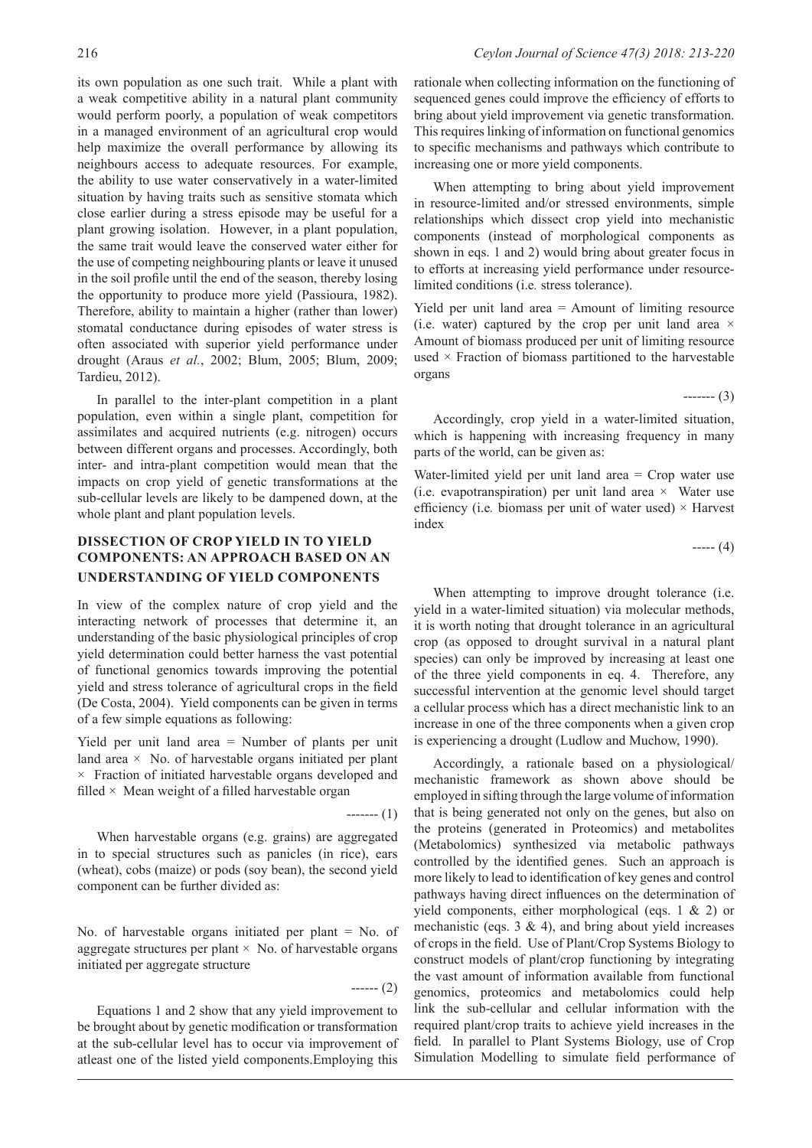its own population as one such trait. While a plant with a weak competitive ability in a natural plant community would perform poorly, a population of weak competitors in a managed environment of an agricultural crop would help maximize the overall performance by allowing its neighbours access to adequate resources. For example, the ability to use water conservatively in a water-limited situation by having traits such as sensitive stomata which close earlier during a stress episode may be useful for a plant growing isolation. However, in a plant population, the same trait would leave the conserved water either for the use of competing neighbouring plants or leave it unused in the soil profile until the end of the season, thereby losing the opportunity to produce more yield (Passioura, 1982). Therefore, ability to maintain a higher (rather than lower) stomatal conductance during episodes of water stress is often associated with superior yield performance under drought (Araus *et al.*, 2002; Blum, 2005; Blum, 2009; Tardieu, 2012).

In parallel to the inter-plant competition in a plant population, even within a single plant, competition for assimilates and acquired nutrients (e.g. nitrogen) occurs between different organs and processes. Accordingly, both inter- and intra-plant competition would mean that the impacts on crop yield of genetic transformations at the sub-cellular levels are likely to be dampened down, at the whole plant and plant population levels.

# **DISSECTION OF CROP YIELD IN TO YIELD COMPONENTS: AN APPROACH BASED ON AN UNDERSTANDING OF YIELD COMPONENTS**

In view of the complex nature of crop yield and the interacting network of processes that determine it, an understanding of the basic physiological principles of crop yield determination could better harness the vast potential of functional genomics towards improving the potential yield and stress tolerance of agricultural crops in the field (De Costa, 2004). Yield components can be given in terms of a few simple equations as following:

Yield per unit land area = Number of plants per unit land area  $\times$  No. of harvestable organs initiated per plant  $\times$  Fraction of initiated harvestable organs developed and filled  $\times$  Mean weight of a filled harvestable organ

When harvestable organs (e.g. grains) are aggregated in to special structures such as panicles (in rice), ears (wheat), cobs (maize) or pods (soy bean), the second yield component can be further divided as:

No. of harvestable organs initiated per plant = No. of aggregate structures per plant  $\times$  No. of harvestable organs initiated per aggregate structure

------ (2)

------- (1)

Equations 1 and 2 show that any yield improvement to be brought about by genetic modification or transformation at the sub-cellular level has to occur via improvement of atleast one of the listed yield components.Employing this

rationale when collecting information on the functioning of sequenced genes could improve the efficiency of efforts to bring about yield improvement via genetic transformation. This requires linking of information on functional genomics to specific mechanisms and pathways which contribute to increasing one or more yield components.

When attempting to bring about yield improvement in resource-limited and/or stressed environments, simple relationships which dissect crop yield into mechanistic components (instead of morphological components as shown in eqs. 1 and 2) would bring about greater focus in to efforts at increasing yield performance under resourcelimited conditions (i.e*.* stress tolerance).

Yield per unit land area = Amount of limiting resource (i.e. water) captured by the crop per unit land area  $\times$ Amount of biomass produced per unit of limiting resource used  $\times$  Fraction of biomass partitioned to the harvestable organs

------- (3)

Accordingly, crop yield in a water-limited situation, which is happening with increasing frequency in many parts of the world, can be given as:

Water-limited yield per unit land area = Crop water use (i.e. evapotranspiration) per unit land area  $\times$  Water use efficiency (i.e. biomass per unit of water used)  $\times$  Harvest index

 $--- (4)$ 

When attempting to improve drought tolerance *(i.e.*) yield in a water-limited situation) via molecular methods, it is worth noting that drought tolerance in an agricultural crop (as opposed to drought survival in a natural plant species) can only be improved by increasing at least one of the three yield components in eq. 4. Therefore, any successful intervention at the genomic level should target a cellular process which has a direct mechanistic link to an increase in one of the three components when a given crop is experiencing a drought (Ludlow and Muchow, 1990).

Accordingly, a rationale based on a physiological/ mechanistic framework as shown above should be employed in sifting through the large volume of information that is being generated not only on the genes, but also on the proteins (generated in Proteomics) and metabolites (Metabolomics) synthesized via metabolic pathways controlled by the identified genes. Such an approach is more likely to lead to identification of key genes and control pathways having direct influences on the determination of yield components, either morphological (eqs. 1 & 2) or mechanistic (eqs.  $3 \& 4$ ), and bring about yield increases of crops in the field. Use of Plant/Crop Systems Biology to construct models of plant/crop functioning by integrating the vast amount of information available from functional genomics, proteomics and metabolomics could help link the sub-cellular and cellular information with the required plant/crop traits to achieve yield increases in the field. In parallel to Plant Systems Biology, use of Crop Simulation Modelling to simulate field performance of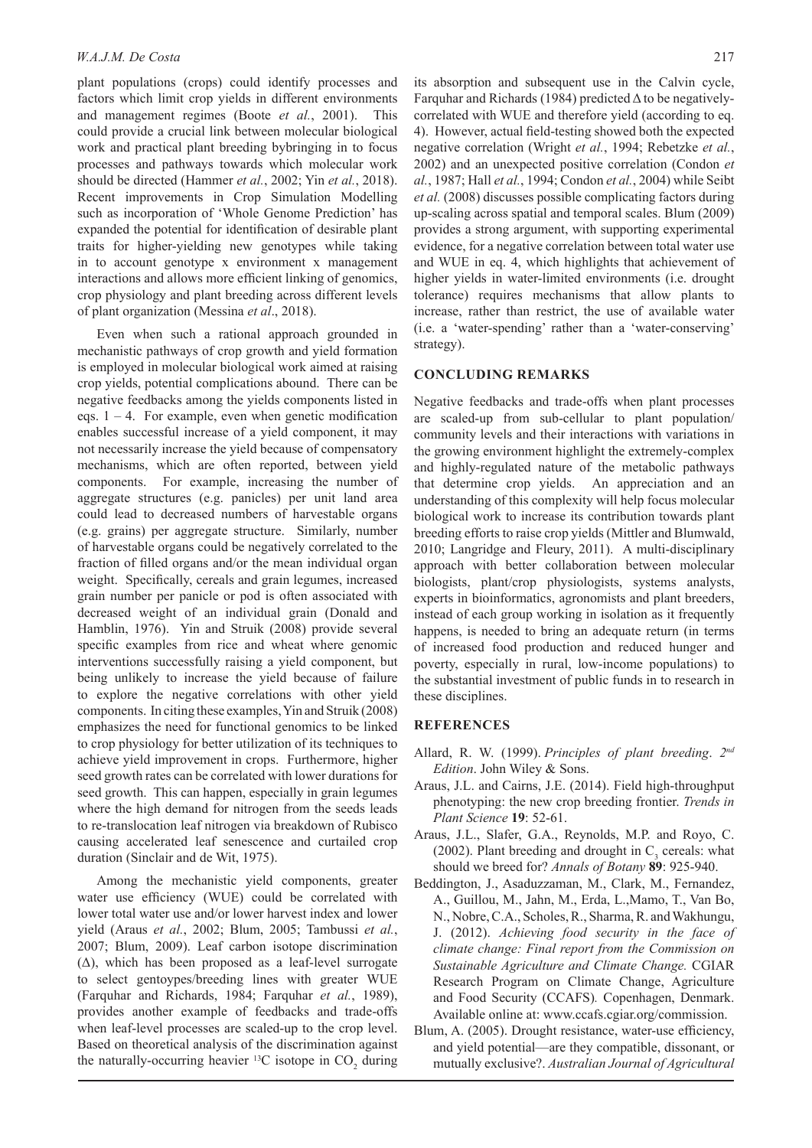plant populations (crops) could identify processes and factors which limit crop yields in different environments and management regimes (Boote *et al.*, 2001). This could provide a crucial link between molecular biological work and practical plant breeding bybringing in to focus processes and pathways towards which molecular work should be directed (Hammer *et al.*, 2002; Yin *et al.*, 2018). Recent improvements in Crop Simulation Modelling such as incorporation of 'Whole Genome Prediction' has expanded the potential for identification of desirable plant traits for higher-yielding new genotypes while taking in to account genotype x environment x management interactions and allows more efficient linking of genomics, crop physiology and plant breeding across different levels of plant organization (Messina *et al*., 2018).

Even when such a rational approach grounded in mechanistic pathways of crop growth and yield formation is employed in molecular biological work aimed at raising crop yields, potential complications abound. There can be negative feedbacks among the yields components listed in eqs.  $1 - 4$ . For example, even when genetic modification enables successful increase of a yield component, it may not necessarily increase the yield because of compensatory mechanisms, which are often reported, between yield components. For example, increasing the number of aggregate structures (e.g. panicles) per unit land area could lead to decreased numbers of harvestable organs (e.g. grains) per aggregate structure. Similarly, number of harvestable organs could be negatively correlated to the fraction of filled organs and/or the mean individual organ weight. Specifically, cereals and grain legumes, increased grain number per panicle or pod is often associated with decreased weight of an individual grain (Donald and Hamblin, 1976). Yin and Struik (2008) provide several specific examples from rice and wheat where genomic interventions successfully raising a yield component, but being unlikely to increase the yield because of failure to explore the negative correlations with other yield components. In citing these examples, Yin and Struik (2008) emphasizes the need for functional genomics to be linked to crop physiology for better utilization of its techniques to achieve yield improvement in crops. Furthermore, higher seed growth rates can be correlated with lower durations for seed growth. This can happen, especially in grain legumes where the high demand for nitrogen from the seeds leads to re-translocation leaf nitrogen via breakdown of Rubisco causing accelerated leaf senescence and curtailed crop duration (Sinclair and de Wit, 1975).

Among the mechanistic yield components, greater water use efficiency (WUE) could be correlated with lower total water use and/or lower harvest index and lower yield (Araus *et al.*, 2002; Blum, 2005; Tambussi *et al.*, 2007; Blum, 2009). Leaf carbon isotope discrimination  $(\Delta)$ , which has been proposed as a leaf-level surrogate to select gentoypes/breeding lines with greater WUE (Farquhar and Richards, 1984; Farquhar *et al.*, 1989), provides another example of feedbacks and trade-offs when leaf-level processes are scaled-up to the crop level. Based on theoretical analysis of the discrimination against the naturally-occurring heavier  $^{13}C$  isotope in  $CO_2$  during its absorption and subsequent use in the Calvin cycle, Farquhar and Richards (1984) predicted  $\Delta$  to be negativelycorrelated with WUE and therefore yield (according to eq. 4). However, actual field-testing showed both the expected negative correlation (Wright *et al.*, 1994; Rebetzke *et al.*, 2002) and an unexpected positive correlation (Condon *et al.*, 1987; Hall *et al.*, 1994; Condon *et al.*, 2004) while Seibt *et al.* (2008) discusses possible complicating factors during up-scaling across spatial and temporal scales. Blum (2009) provides a strong argument, with supporting experimental evidence, for a negative correlation between total water use and WUE in eq. 4, which highlights that achievement of higher yields in water-limited environments (i.e. drought tolerance) requires mechanisms that allow plants to increase, rather than restrict, the use of available water (i.e. a 'water-spending' rather than a 'water-conserving' strategy).

#### **CONCLUDING REMARKS**

Negative feedbacks and trade-offs when plant processes are scaled-up from sub-cellular to plant population/ community levels and their interactions with variations in the growing environment highlight the extremely-complex and highly-regulated nature of the metabolic pathways that determine crop yields. An appreciation and an understanding of this complexity will help focus molecular biological work to increase its contribution towards plant breeding efforts to raise crop yields (Mittler and Blumwald, 2010; Langridge and Fleury, 2011). A multi-disciplinary approach with better collaboration between molecular biologists, plant/crop physiologists, systems analysts, experts in bioinformatics, agronomists and plant breeders, instead of each group working in isolation as it frequently happens, is needed to bring an adequate return (in terms of increased food production and reduced hunger and poverty, especially in rural, low-income populations) to the substantial investment of public funds in to research in these disciplines.

#### **REFERENCES**

- Allard, R. W. (1999). *Principles of plant breeding*. *2nd Edition*. John Wiley & Sons.
- Araus, J.L. and Cairns, J.E. (2014). Field high-throughput phenotyping: the new crop breeding frontier. *Trends in Plant Science* **19**: 52-61.
- Araus, J.L., Slafer, G.A., Reynolds, M.P. and Royo, C. (2002). Plant breeding and drought in  $C_3$  cereals: what should we breed for? *Annals of Botany* **89**: 925-940.
- Beddington, J., Asaduzzaman, M., Clark, M., Fernandez, A., Guillou, M., Jahn, M., Erda, L.,Mamo, T., Van Bo, N., Nobre, C.A., Scholes, R., Sharma, R. and Wakhungu, J. (2012). *Achieving food security in the face of climate change: Final report from the Commission on Sustainable Agriculture and Climate Change.* CGIAR Research Program on Climate Change, Agriculture and Food Security (CCAFS)*.* Copenhagen, Denmark. Available online at: www.ccafs.cgiar.org/commission.
- Blum, A. (2005). Drought resistance, water-use efficiency, and yield potential—are they compatible, dissonant, or mutually exclusive?. *Australian Journal of Agricultural*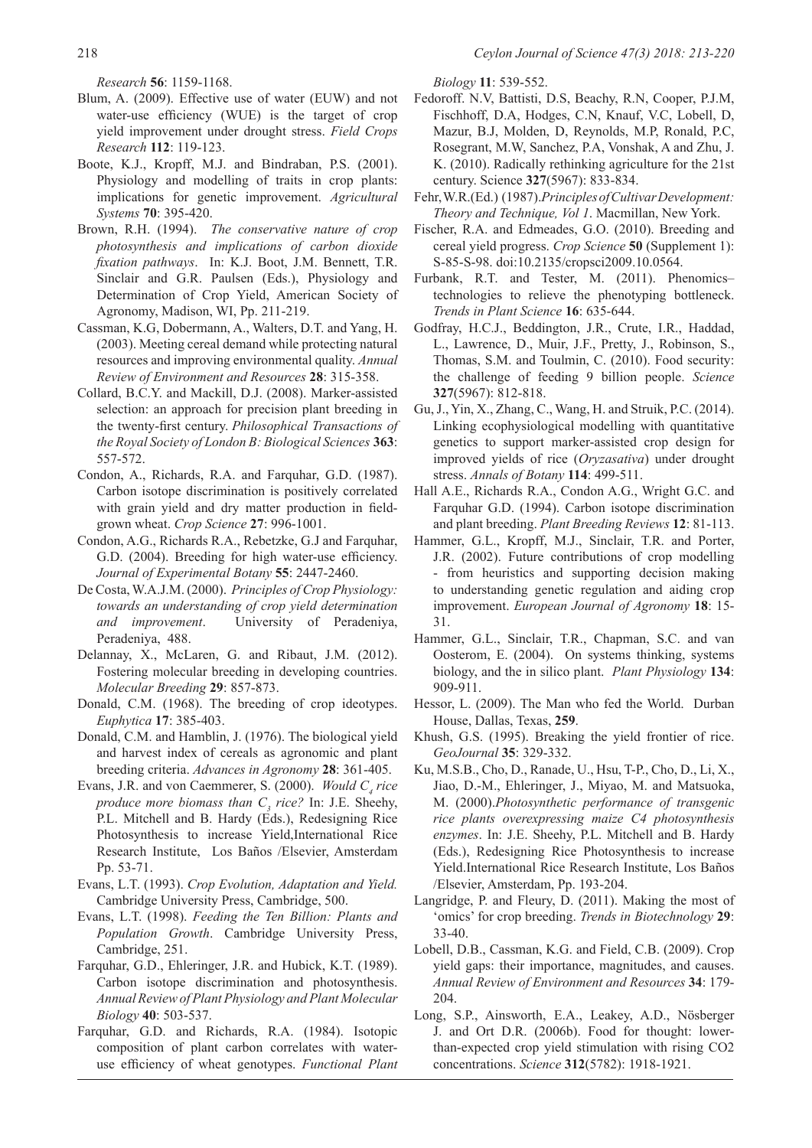*Research* **56**: 1159-1168.

- Blum, A. (2009). Effective use of water (EUW) and not water-use efficiency (WUE) is the target of crop yield improvement under drought stress. *Field Crops Research* **112**: 119-123.
- Boote, K.J., Kropff, M.J. and Bindraban, P.S. (2001). Physiology and modelling of traits in crop plants: implications for genetic improvement. *Agricultural Systems* **70**: 395-420.
- Brown, R.H. (1994). *The conservative nature of crop photosynthesis and implications of carbon dioxide fixation pathways*. In: K.J. Boot, J.M. Bennett, T.R. Sinclair and G.R. Paulsen (Eds.), Physiology and Determination of Crop Yield, American Society of Agronomy, Madison, WI, Pp. 211-219.
- Cassman, K.G, Dobermann, A., Walters, D.T. and Yang, H. (2003). Meeting cereal demand while protecting natural resources and improving environmental quality. *Annual Review of Environment and Resources* **28**: 315-358.
- Collard, B.C.Y. and Mackill, D.J. (2008). Marker-assisted selection: an approach for precision plant breeding in the twenty-first century. *Philosophical Transactions of the Royal Society of London B: Biological Sciences* **363**: 557-572.
- Condon, A., Richards, R.A. and Farquhar, G.D. (1987). Carbon isotope discrimination is positively correlated with grain yield and dry matter production in fieldgrown wheat. *Crop Science* **27**: 996-1001.
- Condon, A.G., Richards R.A., Rebetzke, G.J and Farquhar, G.D. (2004). Breeding for high water-use efficiency. *Journal of Experimental Botany* **55**: 2447-2460.
- De Costa, W.A.J.M. (2000). *Principles of Crop Physiology: towards an understanding of crop yield determination and improvement*. University of Peradeniya, Peradeniya, 488.
- Delannay, X., McLaren, G. and Ribaut, J.M. (2012). Fostering molecular breeding in developing countries. *Molecular Breeding* **29**: 857-873.
- Donald, C.M. (1968). The breeding of crop ideotypes. *Euphytica* **17**: 385-403.
- Donald, C.M. and Hamblin, J. (1976). The biological yield and harvest index of cereals as agronomic and plant breeding criteria. *Advances in Agronomy* **28**: 361-405.
- Evans, J.R. and von Caemmerer, S.  $(2000)$ . *Would C<sub>4</sub> rice produce more biomass than C3 rice?* In: J.E. Sheehy, P.L. Mitchell and B. Hardy (Eds.), Redesigning Rice Photosynthesis to increase Yield,International Rice Research Institute, Los Baños /Elsevier, Amsterdam Pp. 53-71.
- Evans, L.T. (1993). *Crop Evolution, Adaptation and Yield.* Cambridge University Press, Cambridge, 500.
- Evans, L.T. (1998). *Feeding the Ten Billion: Plants and Population Growth*. Cambridge University Press, Cambridge, 251.
- Farquhar, G.D., Ehleringer, J.R. and Hubick, K.T. (1989). Carbon isotope discrimination and photosynthesis. *Annual Review of Plant Physiology and Plant Molecular Biology* **40**: 503-537.
- Farquhar, G.D. and Richards, R.A. (1984). Isotopic composition of plant carbon correlates with wateruse efficiency of wheat genotypes. *Functional Plant*

*Biology* **11**: 539-552.

- Fedoroff. N.V, Battisti, D.S, Beachy, R.N, Cooper, P.J.M, Fischhoff, D.A, Hodges, C.N, Knauf, V.C, Lobell, D, Mazur, B.J, Molden, D, Reynolds, M.P, Ronald, P.C, Rosegrant, M.W, Sanchez, P.A, Vonshak, A and Zhu, J. K. (2010). Radically rethinking agriculture for the 21st century. Science **327**(5967): 833-834.
- Fehr, W.R.(Ed.) (1987).*Principles of Cultivar Development: Theory and Technique, Vol 1*. Macmillan, New York.
- Fischer, R.A. and Edmeades, G.O. (2010). Breeding and cereal yield progress. *Crop Science* **50** (Supplement 1): S-85-S-98. doi:10.2135/cropsci2009.10.0564.
- Furbank, R.T. and Tester, M. (2011). Phenomics– technologies to relieve the phenotyping bottleneck. *Trends in Plant Science* **16**: 635-644.
- Godfray, H.C.J., Beddington, J.R., Crute, I.R., Haddad, L., Lawrence, D., Muir, J.F., Pretty, J., Robinson, S., Thomas, S.M. and Toulmin, C. (2010). Food security: the challenge of feeding 9 billion people. *Science*  **327**(5967): 812-818.
- Gu, J., Yin, X., Zhang, C., Wang, H. and Struik, P.C. (2014). Linking ecophysiological modelling with quantitative genetics to support marker-assisted crop design for improved yields of rice (*Oryzasativa*) under drought stress. *Annals of Botany* **114**: 499-511.
- Hall A.E., Richards R.A., Condon A.G., Wright G.C. and Farquhar G.D. (1994). Carbon isotope discrimination and plant breeding. *Plant Breeding Reviews* **12**: 81-113.
- Hammer, G.L., Kropff, M.J., Sinclair, T.R. and Porter, J.R. (2002). Future contributions of crop modelling - from heuristics and supporting decision making to understanding genetic regulation and aiding crop improvement. *European Journal of Agronomy* **18**: 15- 31.
- Hammer, G.L., Sinclair, T.R., Chapman, S.C. and van Oosterom, E. (2004). On systems thinking, systems biology, and the in silico plant. *Plant Physiology* **134**: 909-911.
- Hessor, L. (2009). The Man who fed the World. Durban House, Dallas, Texas, **259**.
- Khush, G.S. (1995). Breaking the yield frontier of rice. *GeoJournal* **35**: 329-332.
- Ku, M.S.B., Cho, D., Ranade, U., Hsu, T-P., Cho, D., Li, X., Jiao, D.-M., Ehleringer, J., Miyao, M. and Matsuoka, M. (2000).*Photosynthetic performance of transgenic rice plants overexpressing maize C4 photosynthesis enzymes*. In: J.E. Sheehy, P.L. Mitchell and B. Hardy (Eds.), Redesigning Rice Photosynthesis to increase Yield.International Rice Research Institute, Los Baños /Elsevier, Amsterdam, Pp. 193-204.
- Langridge, P. and Fleury, D. (2011). Making the most of 'omics' for crop breeding. *Trends in Biotechnology* **29**: 33-40.
- Lobell, D.B., Cassman, K.G. and Field, C.B. (2009). Crop yield gaps: their importance, magnitudes, and causes. *Annual Review of Environment and Resources* **34**: 179- 204.
- Long, S.P., Ainsworth, E.A., Leakey, A.D., Nösberger J. and Ort D.R. (2006b). Food for thought: lowerthan-expected crop yield stimulation with rising CO2 concentrations. *Science* **312**(5782): 1918-1921.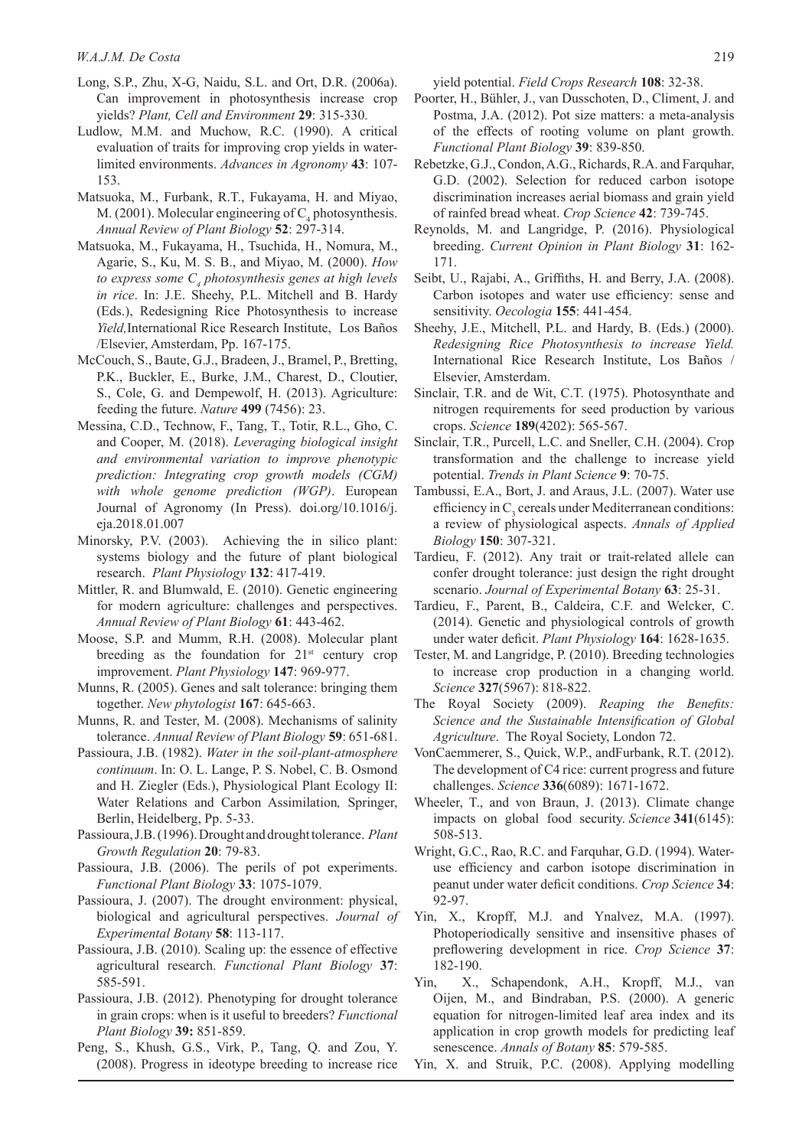- Long, S.P., Zhu, X-G, Naidu, S.L. and Ort, D.R. (2006a). Can improvement in photosynthesis increase crop yields? *Plant, Cell and Environment* **29**: 315-330.
- Ludlow, M.M. and Muchow, R.C. (1990). A critical evaluation of traits for improving crop yields in waterlimited environments. *Advances in Agronomy* **43**: 107- 153.
- Matsuoka, M., Furbank, R.T., Fukayama, H. and Miyao, M. (2001). Molecular engineering of  $C_4$  photosynthesis. *Annual Review of Plant Biology* **52**: 297-314.
- Matsuoka, M., Fukayama, H., Tsuchida, H., Nomura, M., Agarie, S., Ku, M. S. B., and Miyao, M. (2000). *How to express some C4 photosynthesis genes at high levels in rice*. In: J.E. Sheehy, P.L. Mitchell and B. Hardy (Eds.), Redesigning Rice Photosynthesis to increase *Yield,*International Rice Research Institute, Los Baños /Elsevier, Amsterdam, Pp. 167-175.
- McCouch, S., Baute, G.J., Bradeen, J., Bramel, P., Bretting, P.K., Buckler, E., Burke, J.M., Charest, D., Cloutier, S., Cole, G. and Dempewolf, H. (2013). Agriculture: feeding the future. *Nature* **499** (7456): 23.
- Messina, C.D., Technow, F., Tang, T., Totir, R.L., Gho, C. and Cooper, M. (2018). *Leveraging biological insight and environmental variation to improve phenotypic prediction: Integrating crop growth models (CGM) with whole genome prediction (WGP)*. European Journal of Agronomy (In Press). doi.org/10.1016/j. eja.2018.01.007
- Minorsky, P.V. (2003). Achieving the in silico plant: systems biology and the future of plant biological research. *Plant Physiology* **132**: 417-419.
- Mittler, R. and Blumwald, E. (2010). Genetic engineering for modern agriculture: challenges and perspectives. *Annual Review of Plant Biology* **61**: 443-462.
- Moose, S.P. and Mumm, R.H. (2008). Molecular plant breeding as the foundation for  $21<sup>st</sup>$  century crop improvement. *Plant Physiology* **147**: 969-977.
- Munns, R. (2005). Genes and salt tolerance: bringing them together. *New phytologist* **167**: 645-663.
- Munns, R. and Tester, M. (2008). Mechanisms of salinity tolerance. *Annual Review of Plant Biology* **59**: 651-681.
- Passioura, J.B. (1982). *Water in the soil-plant-atmosphere continuum*. In: O. L. Lange, P. S. Nobel, C. B. Osmond and H. Ziegler (Eds.), Physiological Plant Ecology II: Water Relations and Carbon Assimilation*,* Springer, Berlin, Heidelberg, Pp. 5-33.
- Passioura, J.B. (1996). Drought and drought tolerance. *Plant Growth Regulation* **20**: 79-83.
- Passioura, J.B. (2006). The perils of pot experiments. *Functional Plant Biology* **33**: 1075-1079.
- Passioura, J. (2007). The drought environment: physical, biological and agricultural perspectives. *Journal of Experimental Botany* **58**: 113-117.
- Passioura, J.B. (2010). Scaling up: the essence of effective agricultural research. *Functional Plant Biology* **37**: 585-591.
- Passioura, J.B. (2012). Phenotyping for drought tolerance in grain crops: when is it useful to breeders? *Functional Plant Biology* **39:** 851-859.
- Peng, S., Khush, G.S., Virk, P., Tang, Q. and Zou, Y. (2008). Progress in ideotype breeding to increase rice

yield potential. *Field Crops Research* **108**: 32-38.

- Poorter, H., Bühler, J., van Dusschoten, D., Climent, J. and Postma, J.A. (2012). Pot size matters: a meta-analysis of the effects of rooting volume on plant growth. *Functional Plant Biology* **39**: 839-850.
- Rebetzke, G.J., Condon, A.G., Richards, R.A. and Farquhar, G.D. (2002). Selection for reduced carbon isotope discrimination increases aerial biomass and grain yield of rainfed bread wheat. *Crop Science* **42**: 739-745.
- Reynolds, M. and Langridge, P. (2016). Physiological breeding. *Current Opinion in Plant Biology* **31**: 162- 171.
- Seibt, U., Rajabi, A., Griffiths, H. and Berry, J.A. (2008). Carbon isotopes and water use efficiency: sense and sensitivity. *Oecologia* **155**: 441-454.
- Sheehy, J.E., Mitchell, P.L. and Hardy, B. (Eds.) (2000). *Redesigning Rice Photosynthesis to increase Yield.* International Rice Research Institute, Los Baños / Elsevier, Amsterdam.
- Sinclair, T.R. and de Wit, C.T. (1975). Photosynthate and nitrogen requirements for seed production by various crops. *Science* **189**(4202): 565-567.
- Sinclair, T.R., Purcell, L.C. and Sneller, C.H. (2004). Crop transformation and the challenge to increase yield potential. *Trends in Plant Science* **9**: 70-75.
- Tambussi, E.A., Bort, J. and Araus, J.L. (2007). Water use efficiency in  $C_3$  cereals under Mediterranean conditions: a review of physiological aspects. *Annals of Applied Biology* **150**: 307-321.
- Tardieu, F. (2012). Any trait or trait-related allele can confer drought tolerance: just design the right drought scenario. *Journal of Experimental Botany* **63**: 25-31.
- Tardieu, F., Parent, B., Caldeira, C.F. and Welcker, C. (2014). Genetic and physiological controls of growth under water deficit. *Plant Physiology* **164**: 1628-1635.
- Tester, M. and Langridge, P. (2010). Breeding technologies to increase crop production in a changing world. *Science* **327**(5967): 818-822.
- The Royal Society (2009). *Reaping the Benefits: Science and the Sustainable Intensification of Global Agriculture*. The Royal Society, London 72.
- VonCaemmerer, S., Quick, W.P., andFurbank, R.T. (2012). The development of C4 rice: current progress and future challenges. *Science* **336**(6089): 1671-1672.
- Wheeler, T., and von Braun, J. (2013). Climate change impacts on global food security. *Science* **341**(6145): 508-513.
- Wright, G.C., Rao, R.C. and Farquhar, G.D. (1994). Wateruse efficiency and carbon isotope discrimination in peanut under water deficit conditions. *Crop Science* **34**: 92-97.
- Yin, X., Kropff, M.J. and Ynalvez, M.A. (1997). Photoperiodically sensitive and insensitive phases of preflowering development in rice. *Crop Science* **37**: 182-190.
- Yin, X., Schapendonk, A.H., Kropff, M.J., van Oijen, M., and Bindraban, P.S. (2000). A generic equation for nitrogen-limited leaf area index and its application in crop growth models for predicting leaf senescence. *Annals of Botany* **85**: 579-585.
- Yin, X. and Struik, P.C. (2008). Applying modelling